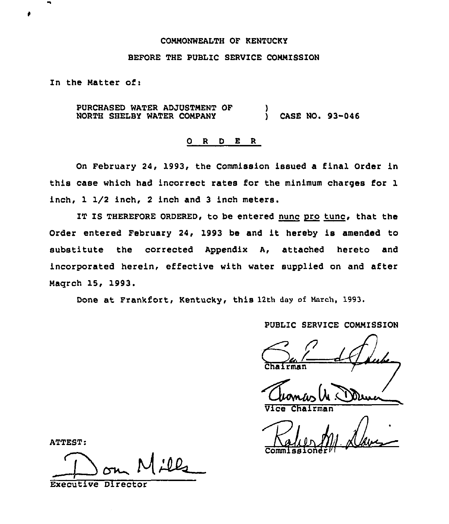#### COMMONWEALTH OF KENTUCKY

## BEFORE THE PUBLIC SERVICE COMMISSION

In the Natter of:

PURCHASED WATER ADJUSTMENT OF NORTH SHELBY WATER CONPANY ) ) CASE NO. 93-046

## 0 <sup>R</sup> <sup>D</sup> E <sup>R</sup>

On February 24, 1993, the Commission issued a final Order in this case which had incorrect rates for the minimum charges for 1 inch, 1 I/2 inch, 2 inch and 3 inch meters.

IT IS THEREFORE ORDERED, to be entered nunc pro tune, that the Order entered February 24, 1993 be and it hereby is amended to substitute the corrected Appendix A, attached hereto and incorporated herein, effective with water supplied on and after Naqrch 15, 1993.

Done at Frankfort, Kentucky, this 12th day of March, 1993.

PUBLIC SERVICE CONNISSION

Vice Chairman

Commission

ATTEST:

<u> 12</u>

Executive Director